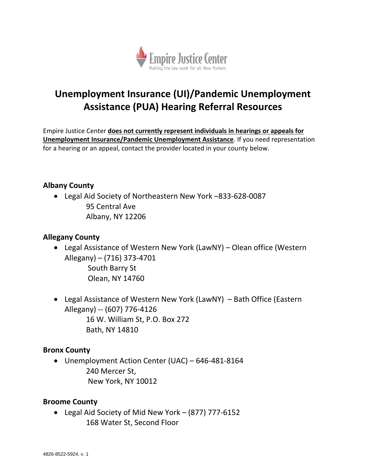

# **Unemployment Insurance (UI)/Pandemic Unemployment Assistance (PUA) Hearing Referral Resources**

Empire Justice Center **does not currently represent individuals in hearings or appeals for Unemployment Insurance/Pandemic Unemployment Assistance**. If you need representation for a hearing or an appeal, contact the provider located in your county below.

## **Albany County**

 Legal Aid Society of Northeastern New York –833-628-0087 95 Central Ave Albany, NY 12206

## **Allegany County**

- Legal Assistance of Western New York (LawNY) Olean office (Western Allegany) – (716) 373-4701 South Barry St Olean, NY 14760
- Legal Assistance of Western New York (LawNY) Bath Office (Eastern Allegany) -- (607) 776-4126 16 W. William St, P.O. Box 272 Bath, NY 14810

#### **Bronx County**

 Unemployment Action Center (UAC) – 646-481-8164 240 Mercer St, New York, NY 10012

#### **Broome County**

 Legal Aid Society of Mid New York – (877) 777-6152 168 Water St, Second Floor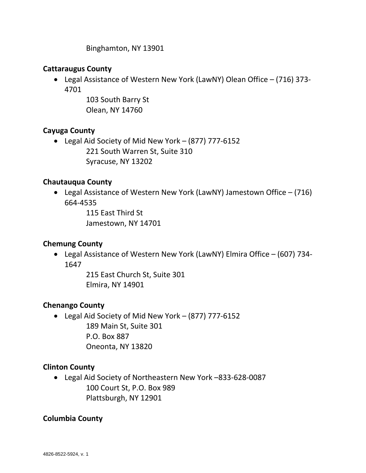Binghamton, NY 13901

## **Cattaraugus County**

 Legal Assistance of Western New York (LawNY) Olean Office – (716) 373- 4701

> 103 South Barry St Olean, NY 14760

# **Cayuga County**

 Legal Aid Society of Mid New York – (877) 777-6152 221 South Warren St, Suite 310 Syracuse, NY 13202

# **Chautauqua County**

 Legal Assistance of Western New York (LawNY) Jamestown Office – (716) 664-4535

> 115 East Third St Jamestown, NY 14701

# **Chemung County**

 Legal Assistance of Western New York (LawNY) Elmira Office – (607) 734- 1647

> 215 East Church St, Suite 301 Elmira, NY 14901

# **Chenango County**

 Legal Aid Society of Mid New York – (877) 777-6152 189 Main St, Suite 301 P.O. Box 887 Oneonta, NY 13820

# **Clinton County**

 Legal Aid Society of Northeastern New York –833-628-0087 100 Court St, P.O. Box 989 Plattsburgh, NY 12901

# **Columbia County**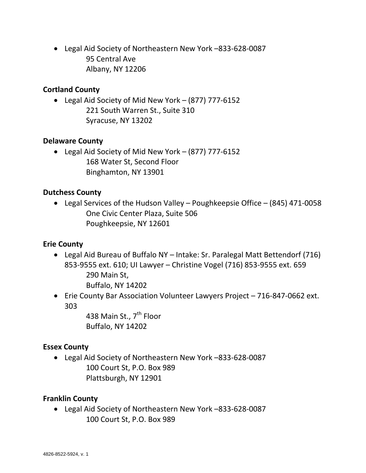Legal Aid Society of Northeastern New York –833-628-0087 95 Central Ave Albany, NY 12206

## **Cortland County**

 Legal Aid Society of Mid New York – (877) 777-6152 221 South Warren St., Suite 310 Syracuse, NY 13202

#### **Delaware County**

 Legal Aid Society of Mid New York – (877) 777-6152 168 Water St, Second Floor Binghamton, NY 13901

#### **Dutchess County**

 Legal Services of the Hudson Valley – Poughkeepsie Office – (845) 471-0058 One Civic Center Plaza, Suite 506 Poughkeepsie, NY 12601

#### **Erie County**

- Legal Aid Bureau of Buffalo NY Intake: Sr. Paralegal Matt Bettendorf (716) 853-9555 ext. 610; UI Lawyer – Christine Vogel (716) 853-9555 ext. 659 290 Main St, Buffalo, NY 14202
- Erie County Bar Association Volunteer Lawyers Project 716-847-0662 ext. 303

438 Main St., 7<sup>th</sup> Floor Buffalo, NY 14202

#### **Essex County**

 Legal Aid Society of Northeastern New York –833-628-0087 100 Court St, P.O. Box 989 Plattsburgh, NY 12901

#### **Franklin County**

 Legal Aid Society of Northeastern New York –833-628-0087 100 Court St, P.O. Box 989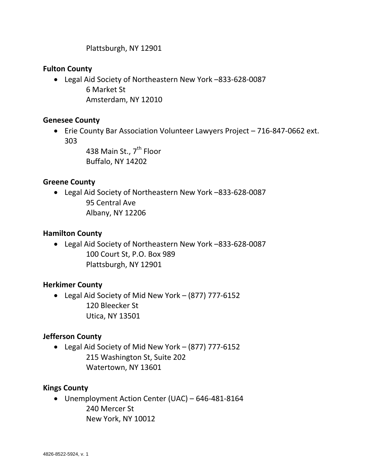Plattsburgh, NY 12901

## **Fulton County**

 Legal Aid Society of Northeastern New York –833-628-0087 6 Market St Amsterdam, NY 12010

## **Genesee County**

 Erie County Bar Association Volunteer Lawyers Project – 716-847-0662 ext. 303

> 438 Main St., 7<sup>th</sup> Floor Buffalo, NY 14202

## **Greene County**

 Legal Aid Society of Northeastern New York –833-628-0087 95 Central Ave Albany, NY 12206

## **Hamilton County**

 Legal Aid Society of Northeastern New York –833-628-0087 100 Court St, P.O. Box 989 Plattsburgh, NY 12901

# **Herkimer County**

 Legal Aid Society of Mid New York – (877) 777-6152 120 Bleecker St Utica, NY 13501

# **Jefferson County**

 Legal Aid Society of Mid New York – (877) 777-6152 215 Washington St, Suite 202 Watertown, NY 13601

#### **Kings County**

 Unemployment Action Center (UAC) – 646-481-8164 240 Mercer St New York, NY 10012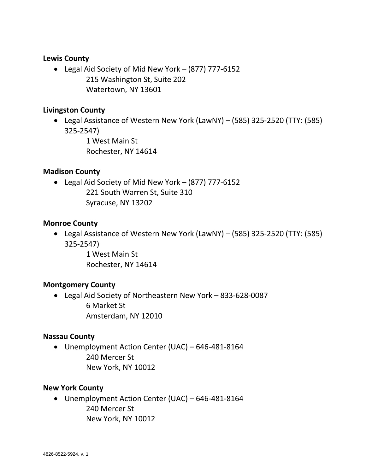## **Lewis County**

 Legal Aid Society of Mid New York – (877) 777-6152 215 Washington St, Suite 202 Watertown, NY 13601

## **Livingston County**

 Legal Assistance of Western New York (LawNY) – (585) 325-2520 (TTY: (585) 325-2547)

> 1 West Main St Rochester, NY 14614

## **Madison County**

 Legal Aid Society of Mid New York – (877) 777-6152 221 South Warren St, Suite 310 Syracuse, NY 13202

#### **Monroe County**

 Legal Assistance of Western New York (LawNY) – (585) 325-2520 (TTY: (585) 325-2547)

> 1 West Main St Rochester, NY 14614

# **Montgomery County**

 Legal Aid Society of Northeastern New York – 833-628-0087 6 Market St Amsterdam, NY 12010

#### **Nassau County**

 Unemployment Action Center (UAC) – 646-481-8164 240 Mercer St New York, NY 10012

#### **New York County**

 Unemployment Action Center (UAC) – 646-481-8164 240 Mercer St New York, NY 10012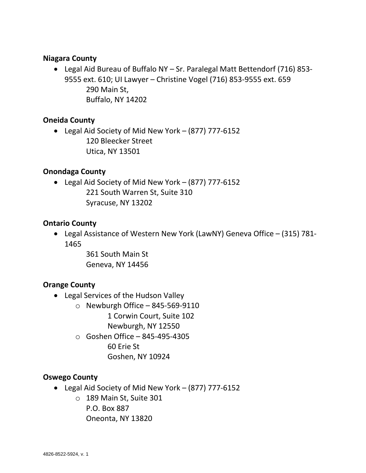#### **Niagara County**

 Legal Aid Bureau of Buffalo NY – Sr. Paralegal Matt Bettendorf (716) 853- 9555 ext. 610; UI Lawyer – Christine Vogel (716) 853-9555 ext. 659 290 Main St, Buffalo, NY 14202

## **Oneida County**

 Legal Aid Society of Mid New York – (877) 777-6152 120 Bleecker Street Utica, NY 13501

#### **Onondaga County**

 Legal Aid Society of Mid New York – (877) 777-6152 221 South Warren St, Suite 310 Syracuse, NY 13202

#### **Ontario County**

 Legal Assistance of Western New York (LawNY) Geneva Office – (315) 781- 1465

> 361 South Main St Geneva, NY 14456

#### **Orange County**

- Legal Services of the Hudson Valley
	- $\circ$  Newburgh Office 845-569-9110
		- 1 Corwin Court, Suite 102
		- Newburgh, NY 12550
	- o Goshen Office 845-495-4305
		- 60 Erie St
		- Goshen, NY 10924

#### **Oswego County**

- Legal Aid Society of Mid New York (877) 777-6152
	- o 189 Main St, Suite 301 P.O. Box 887 Oneonta, NY 13820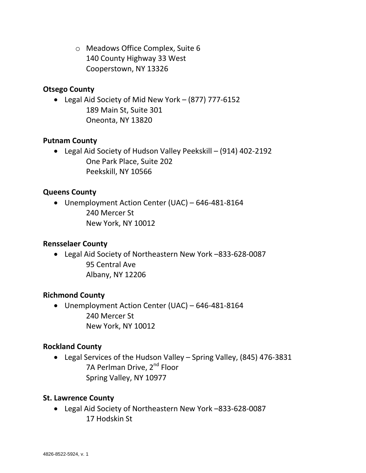o Meadows Office Complex, Suite 6 140 County Highway 33 West Cooperstown, NY 13326

## **Otsego County**

 Legal Aid Society of Mid New York – (877) 777-6152 189 Main St, Suite 301 Oneonta, NY 13820

## **Putnam County**

 Legal Aid Society of Hudson Valley Peekskill – (914) 402-2192 One Park Place, Suite 202 Peekskill, NY 10566

## **Queens County**

 Unemployment Action Center (UAC) – 646-481-8164 240 Mercer St New York, NY 10012

# **Rensselaer County**

 Legal Aid Society of Northeastern New York –833-628-0087 95 Central Ave Albany, NY 12206

#### **Richmond County**

 Unemployment Action Center (UAC) – 646-481-8164 240 Mercer St New York, NY 10012

#### **Rockland County**

 Legal Services of the Hudson Valley – Spring Valley, (845) 476-3831 7A Perlman Drive, 2<sup>nd</sup> Floor Spring Valley, NY 10977

#### **St. Lawrence County**

 Legal Aid Society of Northeastern New York –833-628-0087 17 Hodskin St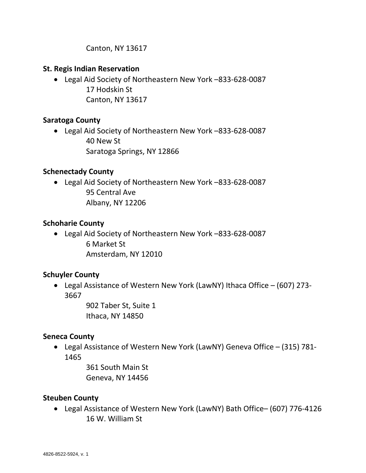Canton, NY 13617

## **St. Regis Indian Reservation**

 Legal Aid Society of Northeastern New York –833-628-0087 17 Hodskin St Canton, NY 13617

# **Saratoga County**

 Legal Aid Society of Northeastern New York –833-628-0087 40 New St Saratoga Springs, NY 12866

## **Schenectady County**

 Legal Aid Society of Northeastern New York –833-628-0087 95 Central Ave Albany, NY 12206

## **Schoharie County**

 Legal Aid Society of Northeastern New York –833-628-0087 6 Market St Amsterdam, NY 12010

# **Schuyler County**

 Legal Assistance of Western New York (LawNY) Ithaca Office – (607) 273- 3667

> 902 Taber St, Suite 1 Ithaca, NY 14850

#### **Seneca County**

 Legal Assistance of Western New York (LawNY) Geneva Office – (315) 781- 1465

> 361 South Main St Geneva, NY 14456

#### **Steuben County**

 Legal Assistance of Western New York (LawNY) Bath Office– (607) 776-4126 16 W. William St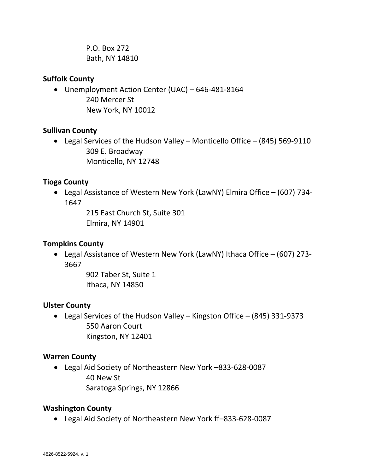P.O. Box 272 Bath, NY 14810

## **Suffolk County**

 Unemployment Action Center (UAC) – 646-481-8164 240 Mercer St New York, NY 10012

## **Sullivan County**

 Legal Services of the Hudson Valley – Monticello Office – (845) 569-9110 309 E. Broadway Monticello, NY 12748

# **Tioga County**

 Legal Assistance of Western New York (LawNY) Elmira Office – (607) 734- 1647

> 215 East Church St, Suite 301 Elmira, NY 14901

# **Tompkins County**

 Legal Assistance of Western New York (LawNY) Ithaca Office – (607) 273- 3667

> 902 Taber St, Suite 1 Ithaca, NY 14850

# **Ulster County**

 Legal Services of the Hudson Valley – Kingston Office – (845) 331-9373 550 Aaron Court Kingston, NY 12401

# **Warren County**

 Legal Aid Society of Northeastern New York –833-628-0087 40 New St Saratoga Springs, NY 12866

# **Washington County**

Legal Aid Society of Northeastern New York ff–833-628-0087